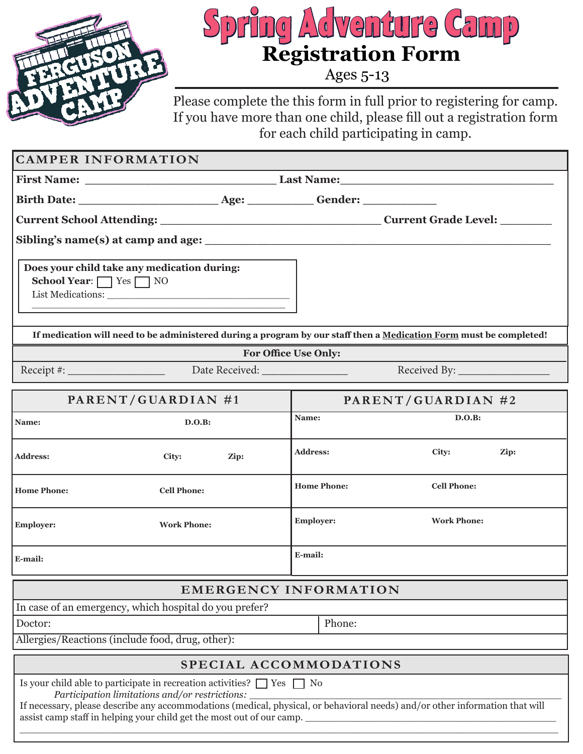

# **Spring Adventure Camp Registration Form**

Ages 5-13

Please complete the this form in full prior to registering for camp. If you have more than one child, please fill out a registration form for each child participating in camp.

| <b>CAMPER INFORMATION</b>                                                                                                                                                                                                                                                                                                                   |                                          |  |  |  |
|---------------------------------------------------------------------------------------------------------------------------------------------------------------------------------------------------------------------------------------------------------------------------------------------------------------------------------------------|------------------------------------------|--|--|--|
|                                                                                                                                                                                                                                                                                                                                             |                                          |  |  |  |
|                                                                                                                                                                                                                                                                                                                                             |                                          |  |  |  |
|                                                                                                                                                                                                                                                                                                                                             |                                          |  |  |  |
|                                                                                                                                                                                                                                                                                                                                             |                                          |  |  |  |
| Does your child take any medication during:<br>School Year: T Yes T NO                                                                                                                                                                                                                                                                      |                                          |  |  |  |
| If medication will need to be administered during a program by our staff then a Medication Form must be completed!                                                                                                                                                                                                                          |                                          |  |  |  |
| For Office Use Only:                                                                                                                                                                                                                                                                                                                        |                                          |  |  |  |
|                                                                                                                                                                                                                                                                                                                                             |                                          |  |  |  |
| PARENT/GUARDIAN #1                                                                                                                                                                                                                                                                                                                          | PARENT/GUARDIAN #2                       |  |  |  |
| Name:<br>D.O.B:                                                                                                                                                                                                                                                                                                                             | D.O.B:<br>Name:                          |  |  |  |
| <b>Address:</b><br>City:<br>Zip:                                                                                                                                                                                                                                                                                                            | <b>Address:</b><br>City:<br>Zip:         |  |  |  |
| <b>Home Phone:</b><br><b>Cell Phone:</b>                                                                                                                                                                                                                                                                                                    | <b>Home Phone:</b><br><b>Cell Phone:</b> |  |  |  |
| <b>Employer:</b><br><b>Work Phone:</b>                                                                                                                                                                                                                                                                                                      | <b>Employer:</b><br><b>Work Phone:</b>   |  |  |  |
| E-mail:                                                                                                                                                                                                                                                                                                                                     | E-mail:                                  |  |  |  |
| <b>EMERGENCY INFORMATION</b>                                                                                                                                                                                                                                                                                                                |                                          |  |  |  |
| In case of an emergency, which hospital do you prefer?                                                                                                                                                                                                                                                                                      |                                          |  |  |  |
| Doctor:                                                                                                                                                                                                                                                                                                                                     | Phone:                                   |  |  |  |
| Allergies/Reactions (include food, drug, other):                                                                                                                                                                                                                                                                                            |                                          |  |  |  |
| SPECIAL ACCOMMODATIONS                                                                                                                                                                                                                                                                                                                      |                                          |  |  |  |
| Is your child able to participate in recreation activities? $\Box$ Yes $\Box$ No<br>Participation limitations and/or restrictions:<br>If necessary, please describe any accommodations (medical, physical, or behavioral needs) and/or other information that will<br>assist camp staff in helping your child get the most out of our camp. |                                          |  |  |  |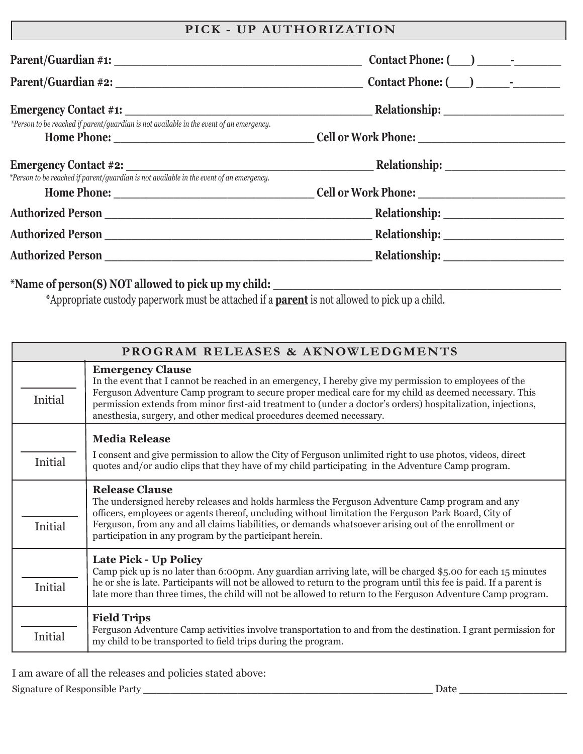#### **PICK - UP AUTHORIZATION**

| $\text{Context Phone:} (\_\_\_\_\_\_\_\_$    |
|----------------------------------------------|
| $\text{Context Phone:} (\_\_\_\_\_\_\_$      |
|                                              |
|                                              |
|                                              |
|                                              |
| <b>Relationship: _______________________</b> |
|                                              |
|                                              |
|                                              |

#### **\*Name of person(S) NOT allowed to pick up my child: \_\_\_\_\_\_\_\_\_\_\_\_\_\_\_\_\_\_\_\_\_\_\_\_\_\_\_\_\_\_\_\_\_\_\_\_\_\_\_\_\_\_\_**

\*Appropriate custody paperwork must be attached if a **parent** is not allowed to pick up a child.

| PROGRAM RELEASES & AKNOWLEDGMENTS |                                                                                                                                                                                                                                                                                                                                                                                                                                 |  |  |
|-----------------------------------|---------------------------------------------------------------------------------------------------------------------------------------------------------------------------------------------------------------------------------------------------------------------------------------------------------------------------------------------------------------------------------------------------------------------------------|--|--|
| Initial                           | <b>Emergency Clause</b><br>In the event that I cannot be reached in an emergency, I hereby give my permission to employees of the<br>Ferguson Adventure Camp program to secure proper medical care for my child as deemed necessary. This<br>permission extends from minor first-aid treatment to (under a doctor's orders) hospitalization, injections,<br>anesthesia, surgery, and other medical procedures deemed necessary. |  |  |
|                                   | <b>Media Release</b><br>I consent and give permission to allow the City of Ferguson unlimited right to use photos, videos, direct                                                                                                                                                                                                                                                                                               |  |  |
| Initial                           | quotes and/or audio clips that they have of my child participating in the Adventure Camp program.                                                                                                                                                                                                                                                                                                                               |  |  |
|                                   | <b>Release Clause</b><br>The undersigned hereby releases and holds harmless the Ferguson Adventure Camp program and any<br>officers, employees or agents thereof, uncluding without limitation the Ferguson Park Board, City of<br>Ferguson, from any and all claims liabilities, or demands whatsoever arising out of the enrollment or                                                                                        |  |  |
| Initial                           | participation in any program by the participant herein.                                                                                                                                                                                                                                                                                                                                                                         |  |  |
|                                   | <b>Late Pick - Up Policy</b><br>Camp pick up is no later than 6:00pm. Any guardian arriving late, will be charged \$5.00 for each 15 minutes                                                                                                                                                                                                                                                                                    |  |  |
| Initial                           | he or she is late. Participants will not be allowed to return to the program until this fee is paid. If a parent is<br>late more than three times, the child will not be allowed to return to the Ferguson Adventure Camp program.                                                                                                                                                                                              |  |  |
|                                   | <b>Field Trips</b>                                                                                                                                                                                                                                                                                                                                                                                                              |  |  |
| Initial                           | Ferguson Adventure Camp activities involve transportation to and from the destination. I grant permission for<br>my child to be transported to field trips during the program.                                                                                                                                                                                                                                                  |  |  |

I am aware of all the releases and policies stated above: Signature of Responsible Party \_\_\_\_\_\_\_\_\_\_\_\_\_\_\_\_\_\_\_\_\_\_\_\_\_\_\_\_\_\_\_\_\_\_\_\_\_\_\_\_\_\_\_ Date \_\_\_\_\_\_\_\_\_\_\_\_\_\_\_\_